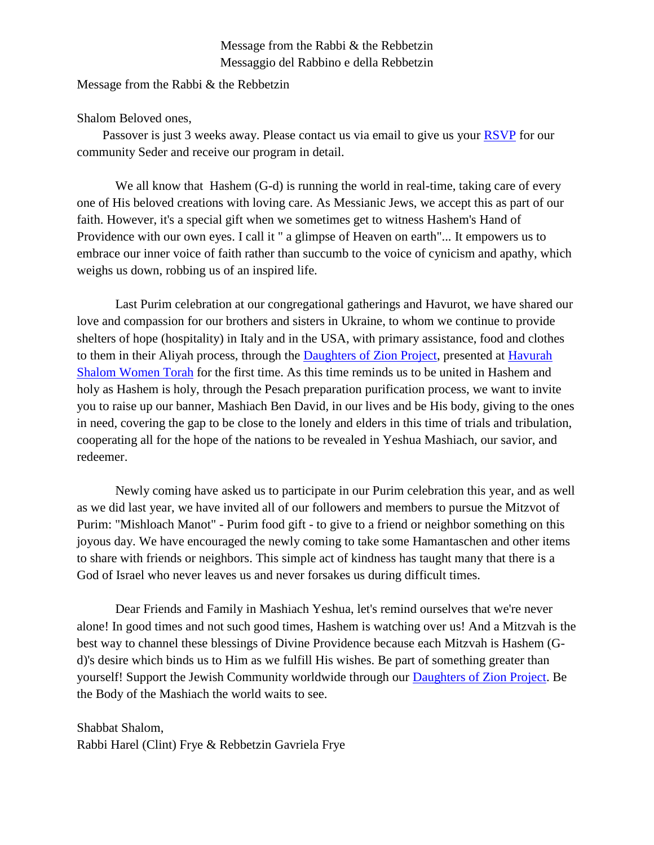## Message from the Rabbi & the Rebbetzin Messaggio del Rabbino e della Rebbetzin

Message from the Rabbi & the Rebbetzin

Shalom Beloved ones,

Passover is just 3 weeks away. Please contact us via email to give us your [RSVP](mailto:vohjm2013@gmail.com) for our community Seder and receive our program in detail.

We all know that Hashem (G-d) is running the world in real-time, taking care of every one of His beloved creations with loving care. As Messianic Jews, we accept this as part of our faith. However, it's a special gift when we sometimes get to witness Hashem's Hand of Providence with our own eyes. I call it " a glimpse of Heaven on earth"... It empowers us to embrace our inner voice of faith rather than succumb to the voice of cynicism and apathy, which weighs us down, robbing us of an inspired life.

Last Purim celebration at our congregational gatherings and Havurot, we have shared our love and compassion for our brothers and sisters in Ukraine, to whom we continue to provide shelters of hope (hospitality) in Italy and in the USA, with primary assistance, food and clothes to them in their Aliyah process, through the [Daughters of Zion Project,](https://machasehsheltikvah.org/post.php?post_id=110) presented at [Havurah](mailto:contact@machasehsheltikvah.org)  [Shalom Women Torah](mailto:contact@machasehsheltikvah.org) for the first time. As this time reminds us to be united in Hashem and holy as Hashem is holy, through the Pesach preparation purification process, we want to invite you to raise up our banner, Mashiach Ben David, in our lives and be His body, giving to the ones in need, covering the gap to be close to the lonely and elders in this time of trials and tribulation, cooperating all for the hope of the nations to be revealed in Yeshua Mashiach, our savior, and redeemer.

Newly coming have asked us to participate in our Purim celebration this year, and as well as we did last year, we have invited all of our followers and members to pursue the Mitzvot of Purim: "Mishloach Manot" - Purim food gift - to give to a friend or neighbor something on this joyous day. We have encouraged the newly coming to take some Hamantaschen and other items to share with friends or neighbors. This simple act of kindness has taught many that there is a God of Israel who never leaves us and never forsakes us during difficult times.

Dear Friends and Family in Mashiach Yeshua, let's remind ourselves that we're never alone! In good times and not such good times, Hashem is watching over us! And a Mitzvah is the best way to channel these blessings of Divine Providence because each Mitzvah is Hashem (Gd)'s desire which binds us to Him as we fulfill His wishes. Be part of something greater than yourself! Support the Jewish Community worldwide through our [Daughters of Zion Project.](mailto:contact@machasehsheltikvah.org) Be the Body of the Mashiach the world waits to see.

Shabbat Shalom, Rabbi Harel (Clint) Frye & Rebbetzin Gavriela Frye